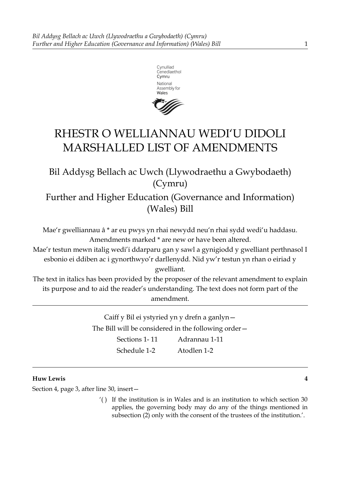

# RHESTR O WELLIANNAU WEDI'U DIDOLI MARSHALLED LIST OF AMENDMENTS

Bil Addysg Bellach ac Uwch (Llywodraethu a Gwybodaeth) (Cymru)

Further and Higher Education (Governance and Information) (Wales) Bill

Mae'r gwelliannau â \* ar eu pwys yn rhai newydd neu'n rhai sydd wedi'u haddasu. Amendments marked \* are new or have been altered.

Mae'r testun mewn italig wedi'i ddarparu gan y sawl a gynigiodd y gwelliant perthnasol I esbonio ei ddiben ac i gynorthwyo'r darllenydd. Nid yw'r testun yn rhan o eiriad y gwelliant.

The text in italics has been provided by the proposer of the relevant amendment to explain its purpose and to aid the reader's understanding. The text does not form part of the amendment.

> Caiff y Bil ei ystyried yn y drefn a ganlyn— The Bill will be considered in the following order— Sections 1-11 Adrannau 1-11

Schedule 1-2 Atodlen 1-2

# **Huw Lewis 4**

Section 4, page 3, after line 30, insert—

'( ) If the institution is in Wales and is an institution to which section 30 applies, the governing body may do any of the things mentioned in subsection (2) only with the consent of the trustees of the institution.'.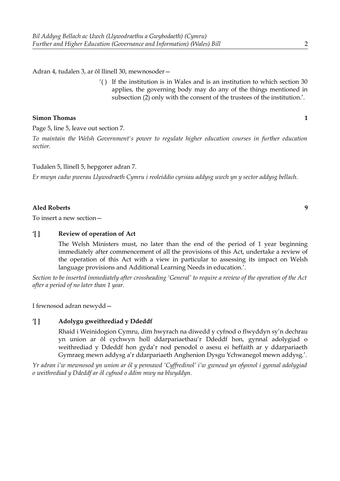Adran 4, tudalen 3, ar ôl llinell 30, mewnosoder—

'( ) If the institution is in Wales and is an institution to which section 30 applies, the governing body may do any of the things mentioned in subsection (2) only with the consent of the trustees of the institution.'.

# **Simon Thomas 1**

Page 5, line 5, leave out section 7.

*To maintain the Welsh Government's power to regulate higher education courses in further education sectior.*

# Tudalen 5, llinell 5, hepgorer adran 7.

*Er mwyn cadw pwerau Llywodraeth Cymru i reoleiddio cyrsiau addysg uwch yn y sector addysg bellach.*

# **Aled Roberts 9**

To insert a new section—

# **'[ ] Review of operation of Act**

The Welsh Ministers must, no later than the end of the period of 1 year beginning immediately after commencement of all the provisions of this Act, undertake a review of the operation of this Act with a view in particular to assessing its impact on Welsh language provisions and Additional Learning Needs in education.'.

*Section to be inserted immediately after crossheading 'General' to require a review of the operation of the Act after a period of no later than 1 year.*

I fewnosod adran newydd—

# **'[ ] Adolygu gweithrediad y Ddeddf**

Rhaid i Weinidogion Cymru, dim hwyrach na diwedd y cyfnod o flwyddyn sy'n dechrau yn union ar ôl cychwyn holl ddarpariaethau'r Ddeddf hon, gynnal adolygiad o weithrediad y Ddeddf hon gyda'r nod penodol o asesu ei heffaith ar y ddarpariaeth Gymraeg mewn addysg a'r ddarpariaeth Anghenion Dysgu Ychwanegol mewn addysg.'.

*Yr adran i'w mewnosod yn union ar ôl y pennawd 'Cyffredinol' i'w gwneud yn ofynnol i gynnal adolygiad o weithrediad y Ddeddf ar ôl cyfnod o ddim mwy na blwyddyn.*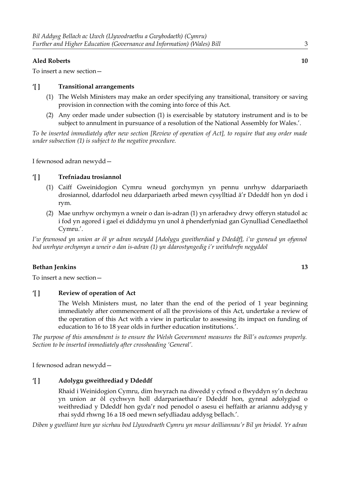# **Aled Roberts 10**

To insert a new section—

## **'[ ] Transitional arrangements**

- (1) The Welsh Ministers may make an order specifying any transitional, transitory or saving provision in connection with the coming into force of this Act.
- (2) Any order made under subsection (1) is exercisable by statutory instrument and is to be subject to annulment in pursuance of a resolution of the National Assembly for Wales.'.

*To be inserted immediately after new section [Review of operation of Act], to require that any order made under subsection (1) is subject to the negative procedure.*

I fewnosod adran newydd—

# **'[ ] Trefniadau trosiannol**

- (1) Caiff Gweinidogion Cymru wneud gorchymyn yn pennu unrhyw ddarpariaeth drosiannol, ddarfodol neu ddarpariaeth arbed mewn cysylltiad â'r Ddeddf hon yn dod i rym.
- (2) Mae unrhyw orchymyn a wneir o dan is-adran (1) yn arferadwy drwy offeryn statudol ac i fod yn agored i gael ei ddiddymu yn unol â phenderfyniad gan Gynulliad Cenedlaethol Cymru.'.

*I'w fewnosod yn union ar ôl yr adran newydd [Adolygu gweitherdiad y Ddeddf], i'w gwneud yn ofynnol bod unrhyw orchymyn a wneir o dan is-adran (1) yn ddarostyngedig i'r weithdrefn negyddol*

## **Bethan Jenkins 13**

To insert a new section—

# **'[ ] Review of operation of Act**

The Welsh Ministers must, no later than the end of the period of 1 year beginning immediately after commencement of all the provisions of this Act, undertake a review of the operation of this Act with a view in particular to assessing its impact on funding of education to 16 to 18 year olds in further education institutions.'.

*The purpose of this amendment is to ensure the Welsh Government measures the Bill's outcomes properly. Section to be inserted immediately after crossheading 'General'.*

I fewnosod adran newydd—

# **'[ ] Adolygu gweithrediad y Ddeddf**

Rhaid i Weinidogion Cymru, dim hwyrach na diwedd y cyfnod o flwyddyn sy'n dechrau yn union ar ôl cychwyn holl ddarpariaethau'r Ddeddf hon, gynnal adolygiad o weithrediad y Ddeddf hon gyda'r nod penodol o asesu ei heffaith ar ariannu addysg y rhai sydd rhwng 16 a 18 oed mewn sefydliadau addysg bellach.'.

 *Diben y gwelliant hwn yw sicrhau bod Llywodraeth Cymru yn mesur deilliannau'r Bil yn briodol. Yr adran*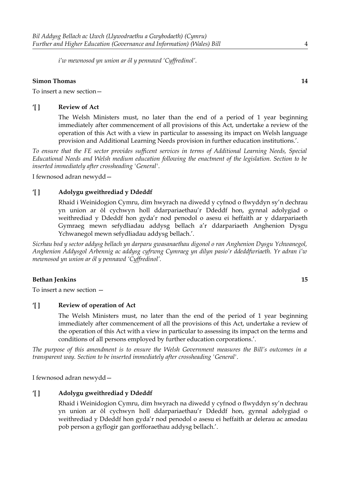*i'w mewnosod yn union ar ôl y pennawd 'Cyffredinol'.*

# **Simon Thomas 14**

To insert a new section—

#### **'[ ] Review of Act**

The Welsh Ministers must, no later than the end of a period of 1 year beginning immediately after commencement of all provisions of this Act, undertake a review of the operation of this Act with a view in particular to assessing its impact on Welsh language provision and Additional Learning Needs provision in further education institutions.'.

*To ensure that the FE sector provides sufficent services in terms of Additional Learning Needs, Special Educational Needs and Welsh medium education following the enactment of the legislation. Section to be inserted immediately after crossheading 'General'.*

I fewnosod adran newydd—

# **'[ ] Adolygu gweithrediad y Ddeddf**

Rhaid i Weinidogion Cymru, dim hwyrach na diwedd y cyfnod o flwyddyn sy'n dechrau yn union ar ôl cychwyn holl ddarpariaethau'r Ddeddf hon, gynnal adolygiad o weithrediad y Ddeddf hon gyda'r nod penodol o asesu ei heffaith ar y ddarpariaeth Gymraeg mewn sefydliadau addysg bellach a'r ddarpariaeth Anghenion Dysgu Ychwanegol mewn sefydliadau addysg bellach.'.

*Sicrhau bod y sector addysg bellach yn darparu gwasanaethau digonol o ran Anghenion Dysgu Ychwanegol, Anghenion Addysgol Arbennig ac addysg cyfrwng Cymraeg yn dilyn pasio'r ddeddfwriaeth. Yr adran i'w mewnosod yn union ar ôl y pennawd 'Cyffredinol'.*

#### **Bethan Jenkins 15**

To insert a new section —

# **'[ ] Review of operation of Act**

The Welsh Ministers must, no later than the end of the period of 1 year beginning immediately after commencement of all the provisions of this Act, undertake a review of the operation of this Act with a view in particular to assessing its impact on the terms and conditions of all persons employed by further education corporations.'.

*The purpose of this amendment is to ensure the Welsh Government measures the Bill's outcomes in a transparent way. Section to be inserted immediately after crossheading 'General'.*

I fewnosod adran newydd—

# **'[ ] Adolygu gweithrediad y Ddeddf**

Rhaid i Weinidogion Cymru, dim hwyrach na diwedd y cyfnod o flwyddyn sy'n dechrau yn union ar ôl cychwyn holl ddarpariaethau'r Ddeddf hon, gynnal adolygiad o weithrediad y Ddeddf hon gyda'r nod penodol o asesu ei heffaith ar delerau ac amodau pob person a gyflogir gan gorfforaethau addysg bellach.'.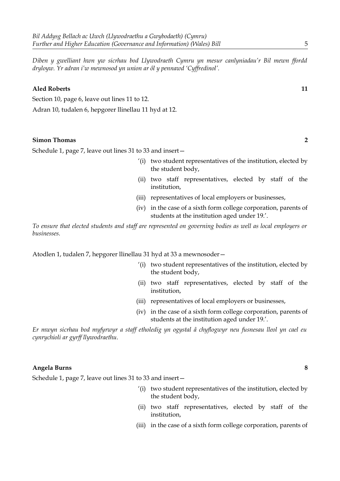*Diben y gwelliant hwn yw sicrhau bod Llywodraeth Cymru yn mesur canlyniadau'r Bil mewn ffordd dryloyw. Yr adran i'w mewnosod yn union ar ôl y pennawd 'Cyffredinol'.*

#### **Aled Roberts 11**

Section 10, page 6, leave out lines 11 to 12.

Adran 10, tudalen 6, hepgorer llinellau 11 hyd at 12.

# **Simon Thomas 2**

Schedule 1, page 7, leave out lines 31 to 33 and insert—

- '(i) two student representatives of the institution, elected by the student body,
- (ii) two staff representatives, elected by staff of the institution,
- (iii) representatives of local employers or businesses,
- (iv) in the case of a sixth form college corporation, parents of students at the institution aged under 19.'.

*To ensure that elected students and staff are represented on governing bodies as well as local employers or businesses.*

Atodlen 1, tudalen 7, hepgorer llinellau 31 hyd at 33 a mewnosoder—

- '(i) two student representatives of the institution, elected by the student body,
- (ii) two staff representatives, elected by staff of the institution,
- (iii) representatives of local employers or businesses,
- (iv) in the case of a sixth form college corporation, parents of students at the institution aged under 19.'.

*Er mwyn sicrhau bod myfyrwyr a staff etholedig yn ogystal â chyflogwyr neu fusnesau lleol yn cael eu cynrychioli ar gyrff llywodraethu.*

# **Angela Burns 8**

Schedule 1, page 7, leave out lines 31 to 33 and insert—

- '(i) two student representatives of the institution, elected by the student body,
- (ii) two staff representatives, elected by staff of the institution,
- (iii) in the case of a sixth form college corporation, parents of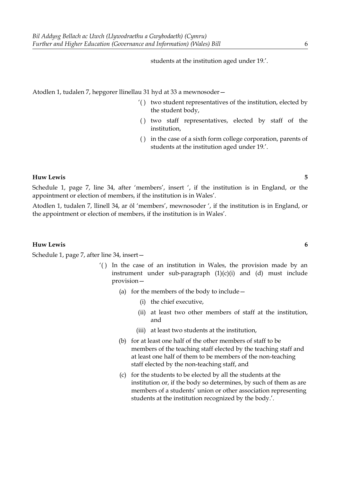students at the institution aged under 19.'.

Atodlen 1, tudalen 7, hepgorer llinellau 31 hyd at 33 a mewnosoder—

- '( ) two student representatives of the institution, elected by the student body,
- ( ) two staff representatives, elected by staff of the institution,
- ( ) in the case of a sixth form college corporation, parents of students at the institution aged under 19.'.

#### **Huw Lewis 5**

Schedule 1, page 7, line 34, after 'members', insert ', if the institution is in England, or the appointment or election of members, if the institution is in Wales'.

Atodlen 1, tudalen 7, llinell 34, ar ôl 'members', mewnosoder ', if the institution is in England, or the appointment or election of members, if the institution is in Wales'.

#### **Huw Lewis 6**

Schedule 1, page 7, after line 34, insert—

- '( ) In the case of an institution in Wales, the provision made by an instrument under sub-paragraph (1)(c)(i) and (d) must include provision—
	- (a) for the members of the body to include—
		- (i) the chief executive,
		- (ii) at least two other members of staff at the institution, and
		- (iii) at least two students at the institution,
	- (b) for at least one half of the other members of staff to be members of the teaching staff elected by the teaching staff and at least one half of them to be members of the non-teaching staff elected by the non-teaching staff, and
	- (c) for the students to be elected by all the students at the institution or, if the body so determines, by such of them as are members of a students' union or other association representing students at the institution recognized by the body.'.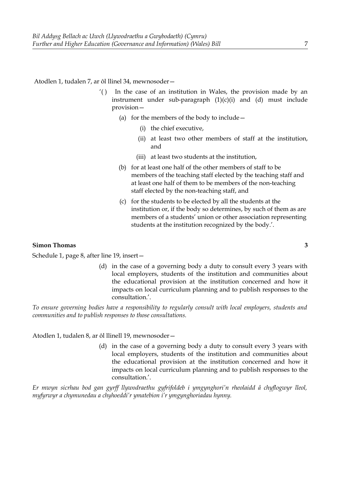Atodlen 1, tudalen 7, ar ôl llinel 34, mewnosoder—

- '( ) In the case of an institution in Wales, the provision made by an instrument under sub-paragraph  $(1)(c)(i)$  and  $(d)$  must include provision—
	- (a) for the members of the body to include—
		- (i) the chief executive,
		- (ii) at least two other members of staff at the institution, and
		- (iii) at least two students at the institution,
	- (b) for at least one half of the other members of staff to be members of the teaching staff elected by the teaching staff and at least one half of them to be members of the non-teaching staff elected by the non-teaching staff, and
	- (c) for the students to be elected by all the students at the institution or, if the body so determines, by such of them as are members of a students' union or other association representing students at the institution recognized by the body.'.

#### **Simon Thomas 3**

Schedule 1, page 8, after line 19, insert—

(d) in the case of a governing body a duty to consult every 3 years with local employers, students of the institution and communities about the educational provision at the institution concerned and how it impacts on local curriculum planning and to publish responses to the consultation.'.

*To ensure governing bodies have a responsibility to regularly consult with local employers, students and communities and to publish responses to those consultations.*

Atodlen 1, tudalen 8, ar ôl llinell 19, mewnosoder—

(d) in the case of a governing body a duty to consult every 3 years with local employers, students of the institution and communities about the educational provision at the institution concerned and how it impacts on local curriculum planning and to publish responses to the consultation.'.

*Er mwyn sicrhau bod gan gyrff llywodraethu gyfrifoldeb i ymgynghori'n rheolaidd â chyflogwyr lleol, myfyrwyr a chymunedau a chyhoeddi'r ymatebion i'r ymgynghoriadau hynny.*